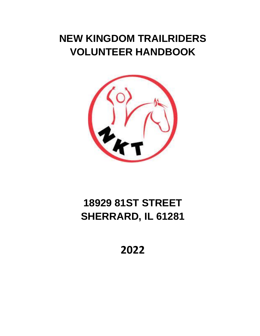## **NEW KINGDOM TRAILRIDERS VOLUNTEER HANDBOOK**



# **18929 81ST STREET SHERRARD, IL 61281**

**2022**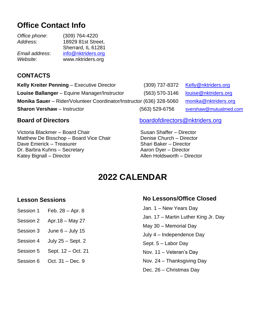## **Office Contact Info**

| $(309)$ 764-4220   |
|--------------------|
| 18929 81st Street, |
| Sherrard, IL 61281 |
| info@nktriders.org |
| www.nktriders.org  |
|                    |

### **CONTACTS**

**Kelly Kreiter Penning** – Executive Director (309) 737-8372 [Kelly@nktriders.org](mailto:Kelly@nktriders.org) **Louise Ballanger** – Equine Manager/Instructor (563) 570-3146 [louise@nktriders.org](mailto:louise@nktriders.org) **Monika Sauer** – Rider/Volunteer Coordinator/Instructor (636) 328-5060 monika@nktriders.org **Sharon Vershaw** – Instructor (563) 529-6756 [svershaw@mutualmed.com](mailto:svershaw@mutualmed.com)

Victoria Blackmer – Board Chair Matthew De Bisschop – Board Vice Chair Dave Emerick – Treasurer Dr. Barbra Kuhns – Secretary Katey Bignall – Director

#### **Board of Directors [boardofdirectors@nktriders.org](mailto:boardofdirectors@nktriders.org)**

Susan Shaffer – Director Denise Church – Director Shari Baker – Director Aaron Dyer – Director Allen Holdsworth – Director

## **2022 CALENDAR**

### **Lesson Sessions**

- Session 1 Feb. 28 Apr. 8
- Session 2 Apr.18 May 27
- Session 3 June 6 July 15
- Session 4 July 25 Sept. 2
- Session 5 Sept. 12 Oct. 21
- Session 6 Oct. 31 Dec. 9

#### **No Lessons/Office Closed**

| Jan. 1 - New Years Day               |
|--------------------------------------|
| Jan. 17 – Martin Luther King Jr. Day |
| May 30 - Memorial Day                |
| July 4 - Independence Day            |
| Sept. 5 – Labor Day                  |
| Nov. 11 - Veteran's Day              |
| Nov. 24 – Thanksgiving Day           |
| Dec. 26 - Christmas Day              |
|                                      |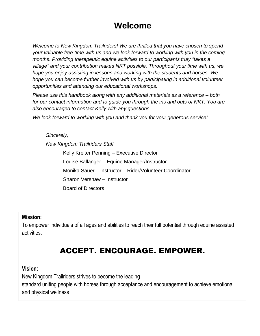## **Welcome**

*Welcome to New Kingdom Trailriders! We are thrilled that you have chosen to spend your valuable free time with us and we look forward to working with you in the coming months. Providing therapeutic equine activities to our participants truly "takes a village" and your contribution makes NKT possible. Throughout your time with us, we hope you enjoy assisting in lessons and working with the students and horses. We hope you can become further involved with us by participating in additional volunteer opportunities and attending our educational workshops.* 

*Please use this handbook along with any additional materials as a reference – both for our contact information and to guide you through the ins and outs of NKT. You are also encouraged to contact Kelly with any questions.* 

*We look forward to working with you and thank you for your generous service!* 

#### *Sincerely,*

*New Kingdom Trailriders Staff*

Kelly Kreiter Penning – Executive Director Louise Ballanger – Equine Manager/Instructor Monika Sauer – Instructor – Rider/Volunteer Coordinator Sharon Vershaw – Instructor Board of Directors

#### **Mission:**

To empower individuals of all ages and abilities to reach their full potential through equine assisted activities.

## ACCEPT. ENCOURAGE. EMPOWER.

#### **Vision:**

New Kingdom Trailriders strives to become the leading standard uniting people with horses through acceptance and encouragement to achieve emotional and physical wellness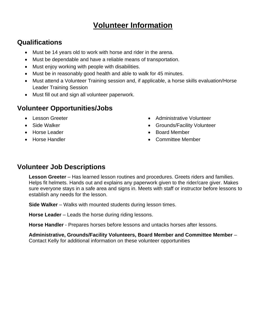## **Volunteer Information**

## **Qualifications**

- Must be 14 years old to work with horse and rider in the arena.
- Must be dependable and have a reliable means of transportation.
- Must enjoy working with people with disabilities.
- Must be in reasonably good health and able to walk for 45 minutes.
- Must attend a Volunteer Training session and, if applicable, a horse skills evaluation/Horse Leader Training Session
- Must fill out and sign all volunteer paperwork.

## **Volunteer Opportunities/Jobs**

- Lesson Greeter
- Side Walker
- Horse Leader
- Horse Handler
- Administrative Volunteer
- Grounds/Facility Volunteer
- Board Member
- Committee Member

### **Volunteer Job Descriptions**

**Lesson Greeter** – Has learned lesson routines and procedures. Greets riders and families. Helps fit helmets. Hands out and explains any paperwork given to the rider/care giver. Makes sure everyone stays in a safe area and signs in. Meets with staff or instructor before lessons to establish any needs for the lesson.

**Side Walker** – Walks with mounted students during lesson times.

**Horse Leader** – Leads the horse during riding lessons.

**Horse Handler** - Prepares horses before lessons and untacks horses after lessons.

**Administrative, Grounds/Facility Volunteers, Board Member and Committee Member** – Contact Kelly for additional information on these volunteer opportunities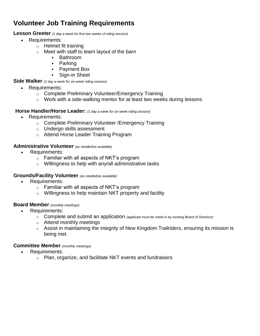## **Volunteer Job Training Requirements**

**Lesson Greeter** *(1 day a week for first two weeks of riding session)*

- Requirements:
	- o Helmet fit training
	- o Meet with staff to learn layout of the barn
		- Bathroom
		- Parking
		- Payment Box
		- Sign-in Sheet

**Side Walker** *(1 day a week for six-week riding session)*

- Requirements:
	- o Complete Preliminary Volunteer/Emergency Training
	- o Work with a side-walking mentor for at least two weeks during lessons

#### **Horse Handler/Horse Leader:** *(1 day a week for six-week riding session)*

- Requirements:
	- o Complete Preliminary Volunteer /Emergency Training
	- o Undergo skills assessment
	- o Attend Horse Leader Training Program

#### **Administrative Volunteer** *(as needed/as available)*

- Requirements:
	- $\circ$  Familiar with all aspects of NKT's program
	- o Willingness to help with any/all administrative tasks

#### **Grounds/Facility Volunteer** *(as needed/as available)*

- Requirements:
	- o Familiar with all aspects of NKT's program
	- o Willingness to help maintain NKT property and facility

#### **Board Member** *(monthly meetings)*

- Requirements:
	- o Complete and submit an application *(applicant must be voted in by existing Board of Directors)*
	- o Attend monthly meetings
	- o Assist in maintaining the integrity of New Kingdom Trailriders, ensuring its mission is being met.

#### **Committee Member** *(monthly meetings)*

- Requirements:
	- o Plan, organize, and facilitate NKT events and fundraisers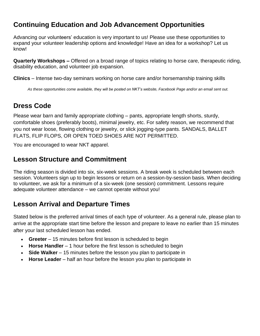## **Continuing Education and Job Advancement Opportunities**

Advancing our volunteers' education is very important to us! Please use these opportunities to expand your volunteer leadership options and knowledge! Have an idea for a workshop? Let us know!

**Quarterly Workshops –** Offered on a broad range of topics relating to horse care, therapeutic riding, disability education, and volunteer job expansion.

**Clinics** – Intense two-day seminars working on horse care and/or horsemanship training skills

*As these opportunities come available, they will be posted on NKT's website, Facebook Page and/or an email sent out.*

## **Dress Code**

Please wear barn and family appropriate clothing – pants, appropriate length shorts, sturdy, comfortable shoes (preferably boots), minimal jewelry, etc. For safety reason, we recommend that you not wear loose, flowing clothing or jewelry, or slick jogging-type pants. SANDALS, BALLET FLATS, FLIP FLOPS, OR OPEN TOED SHOES ARE NOT PERMITTED.

You are encouraged to wear NKT apparel.

## **Lesson Structure and Commitment**

The riding season is divided into six, six-week sessions. A break week is scheduled between each session. Volunteers sign up to begin lessons or return on a session-by-session basis. When deciding to volunteer, we ask for a minimum of a six-week (one session) commitment. Lessons require adequate volunteer attendance – we cannot operate without you!

### **Lesson Arrival and Departure Times**

Stated below is the preferred arrival times of each type of volunteer. As a general rule, please plan to arrive at the appropriate start time before the lesson and prepare to leave no earlier than 15 minutes after your last scheduled lesson has ended.

- **Greeter**  15 minutes before first lesson is scheduled to begin
- **Horse Handler** 1 hour before the first lesson is scheduled to begin
- **Side Walker** 15 minutes before the lesson you plan to participate in
- **Horse Leader**  half an hour before the lesson you plan to participate in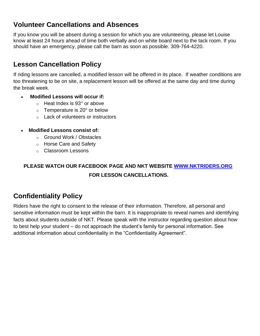## **Volunteer Cancellations and Absences**

If you know you will be absent during a session for which you are volunteering, please let Louise know at least 24 hours ahead of time both verbally and on white board next to the tack room. If you should have an emergency, please call the barn as soon as possible. 309-764-4220.

## **Lesson Cancellation Policy**

If riding lessons are cancelled, a modified lesson will be offered in its place. If weather conditions are too threatening to be on site, a replacement lesson will be offered at the same day and time during the break week.

- **Modified Lessons will occur if:**
	- $\circ$  Heat Index is 93 $\degree$  or above
	- o Temperature is 20° or below
	- o Lack of volunteers or instructors
- **Modified Lessons consist of:**
	- o Ground Work / Obstacles
	- o Horse Care and Safety
	- o Classroom Lessons

## **PLEASE WATCH OUR FACEBOOK PAGE AND NKT WEBSITE [WWW.NKTRIDERS.ORG](http://www.nktriders.org/) FOR LESSON CANCELLATIONS.**

## **Confidentiality Policy**

Riders have the right to consent to the release of their information. Therefore, all personal and sensitive information must be kept within the barn. It is inappropriate to reveal names and identifying facts about students outside of NKT. Please speak with the instructor regarding question about how to best help your student – do not approach the student's family for personal information. See additional information about confidentiality in the "Confidentiality Agreement".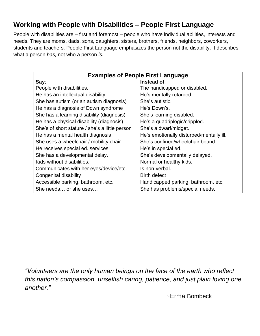## **Working with People with Disabilities – People First Language**

People with disabilities are – first and foremost – people who have individual abilities, interests and needs. They are moms, dads, sons, daughters, sisters, brothers, friends, neighbors, coworkers, students and teachers. People First Language emphasizes the person not the disability. It describes what a person *has,* not who a person *is.* 

| <b>Examples of People First Language</b>       |                                          |
|------------------------------------------------|------------------------------------------|
| Say:                                           | Instead of:                              |
| People with disabilities.                      | The handicapped or disabled.             |
| He has an intellectual disability.             | He's mentally retarded.                  |
| She has autism (or an autism diagnosis)        | She's autistic.                          |
| He has a diagnosis of Down syndrome            | He's Down's.                             |
| She has a learning disability (diagnosis)      | She's learning disabled.                 |
| He has a physical disability (diagnosis)       | He's a quadriplegic/crippled.            |
| She's of short stature / she's a little person | She's a dwarf/midget.                    |
| He has a mental health diagnosis               | He's emotionally disturbed/mentally ill. |
| She uses a wheelchair / mobility chair.        | She's confined/wheelchair bound.         |
| He receives special ed. services.              | He's in special ed.                      |
| She has a developmental delay.                 | She's developmentally delayed.           |
| Kids without disabilities.                     | Normal or healthy kids.                  |
| Communicates with her eyes/device/etc.         | Is non-verbal.                           |
| Congenital disability                          | <b>Birth defect</b>                      |
| Accessible parking, bathroom, etc.             | Handicapped parking, bathroom, etc.      |
| She needs or she uses                          | She has problems/special needs.          |

*"Volunteers are the only human beings on the face of the earth who reflect this nation's compassion, unselfish caring, patience, and just plain loving one another."*

~Erma Bombeck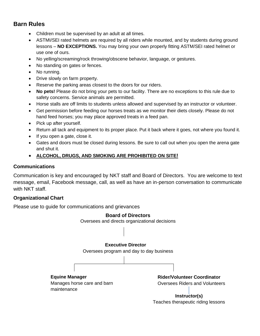#### **Barn Rules**

- Children must be supervised by an adult at all times.
- ASTMI/SEI rated helmets are required by all riders while mounted, and by students during ground lessons – **NO EXCEPTIONS.** You may bring your own properly fitting ASTM/SEI rated helmet or use one of ours.
- No yelling/screaming/rock throwing/obscene behavior, language, or gestures.
- No standing on gates or fences.
- No running.
- Drive slowly on farm property.
- Reserve the parking areas closest to the doors for our riders.
- **No pets!** Please do not bring your pets to our facility. There are no exceptions to this rule due to safety concerns. Service animals are permitted.
- Horse stalls are off limits to students unless allowed and supervised by an instructor or volunteer.
- Get permission before feeding our horses treats as we monitor their diets closely. Please do not hand feed horses; you may place approved treats in a feed pan.
- Pick up after yourself.
- Return all tack and equipment to its proper place. Put it back where it goes, not where you found it.
- If you open a gate, close it.
- Gates and doors must be closed during lessons. Be sure to call out when you open the arena gate and shut it.

#### • **ALCOHOL, DRUGS, AND SMOKING ARE PROHIBITED ON SITE!**

#### **Communications**

Communication is key and encouraged by NKT staff and Board of Directors. You are welcome to text message, email, Facebook message, call, as well as have an in-person conversation to communicate with NKT staff.

#### **Organizational Chart**

Please use to guide for communications and grievances